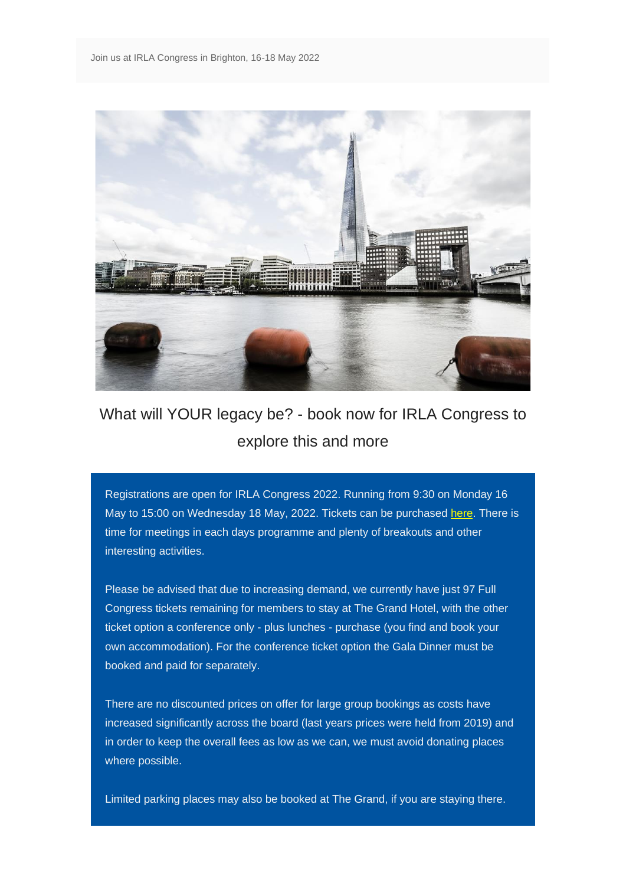

## What will YOUR legacy be? - book now for IRLA Congress to explore this and more

Registrations are open for IRLA Congress 2022. Running from 9:30 on Monday 16 May to 15:00 on Wednesday 18 May, 2022. Tickets can be purchased [here.](https://eur02.safelinks.protection.outlook.com/?url=https%3A%2F%2Firla-international.us8.list-manage.com%2Ftrack%2Fclick%3Fu%3D2310a859fcabdfc7432f407a3%26id%3Dccd1f7df92%26e%3D98e9254a39&data=04%7C01%7Cdawn%40amsoutsourcing.co.uk%7C3e58bac430044fc1640308d9ea319db5%7Ce96bdf0545bc4f56a84e8c082dde3e74%7C1%7C0%7C637798321081018380%7CUnknown%7CTWFpbGZsb3d8eyJWIjoiMC4wLjAwMDAiLCJQIjoiV2luMzIiLCJBTiI6Ik1haWwiLCJXVCI6Mn0%3D%7C3000&sdata=Fkq6rsBcKKRwUQHpTkj4D3hRK1f6MwF64a7f3TI0Lkw%3D&reserved=0) There is time for meetings in each days programme and plenty of breakouts and other interesting activities.

Please be advised that due to increasing demand, we currently have just 97 Full Congress tickets remaining for members to stay at The Grand Hotel, with the other ticket option a conference only - plus lunches - purchase (you find and book your own accommodation). For the conference ticket option the Gala Dinner must be booked and paid for separately.

There are no discounted prices on offer for large group bookings as costs have increased significantly across the board (last years prices were held from 2019) and in order to keep the overall fees as low as we can, we must avoid donating places where possible.

Limited parking places may also be booked at The Grand, if you are staying there.